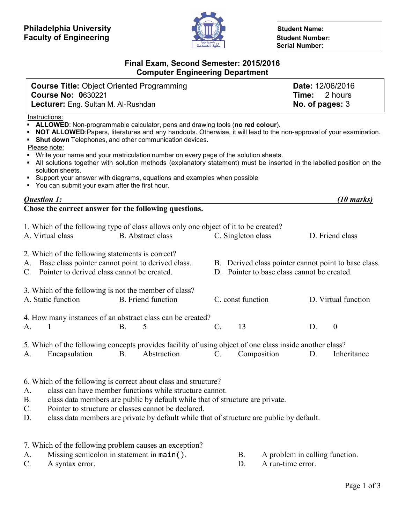

 **Serial Number:**

# **Final Exam, Second Semester: 2015/2016 Computer Engineering Department**

| <b>Course Title: Object Oriented Programming</b> | Date: 12/06/2016     |
|--------------------------------------------------|----------------------|
| <b>Course No: 0630221</b>                        | <b>Time:</b> 2 hours |
| <b>Lecturer:</b> Eng. Sultan M. Al-Rushdan       | No. of pages: $3$    |
| Instruationer                                    |                      |

<u>Instructions</u>

- **ALLOWED**: Non-programmable calculator, pens and drawing tools (**no red colour**).
- **NOT ALLOWED**:Papers, literatures and any handouts. Otherwise, it will lead to the non-approval of your examination.
- **Shut down** Telephones, and other communication devices**.**

Please note:

- Write your name and your matriculation number on every page of the solution sheets.
- All solutions together with solution methods (explanatory statement) must be inserted in the labelled position on the solution sheets.
- Support your answer with diagrams, equations and examples when possible
- You can submit your exam after the first hour.

| <b>Ouestion 1:</b>                                    | $(10 \text{ marks})$ |
|-------------------------------------------------------|----------------------|
| Chose the correct answer for the following questions. |                      |

|    | A. Virtual class                                                                                                                                           |            | 1. Which of the following type of class allows only one object of it to be created?<br>B. Abstract class               |                 |    | C. Singleton class                                                                                  |    | D. Friend class     |
|----|------------------------------------------------------------------------------------------------------------------------------------------------------------|------------|------------------------------------------------------------------------------------------------------------------------|-----------------|----|-----------------------------------------------------------------------------------------------------|----|---------------------|
|    | 2. Which of the following statements is correct?<br>A. Base class pointer cannot point to derived class.<br>C. Pointer to derived class cannot be created. |            |                                                                                                                        |                 |    | B. Derived class pointer cannot point to base class.<br>D. Pointer to base class cannot be created. |    |                     |
|    | 3. Which of the following is not the member of class?<br>A. Static function                                                                                |            | <b>B.</b> Friend function                                                                                              |                 |    | C. const function                                                                                   |    | D. Virtual function |
| A. | 1                                                                                                                                                          | <b>B.</b>  | 4. How many instances of an abstract class can be created?<br>5                                                        | $\mathcal{C}$ . | 13 |                                                                                                     | D. | $\theta$            |
| A. | Encapsulation                                                                                                                                              | <b>B</b> . | 5. Which of the following concepts provides facility of using object of one class inside another class?<br>Abstraction | $\mathcal{C}$ . |    | Composition                                                                                         | D. | Inheritance         |

- 6. Which of the following is correct about class and structure?
- A. class can have member functions while structure cannot.
- B. class data members are public by default while that of structure are private.
- C. Pointer to structure or classes cannot be declared.
- D. class data members are private by default while that of structure are public by default.

| 7. Which of the following problem causes an exception? |                                |
|--------------------------------------------------------|--------------------------------|
| Missing semicolon in statement in main().              | A problem in calling function. |

C. A syntax error. D. A run-time error.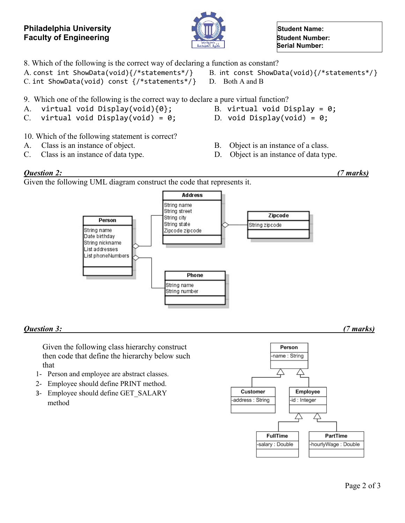## **Philadelphia University Construction of the Student Name: Student Name: Faculty of Engineering**<br> **Faculty of Engineering**



 **Serial Number:**

- 8. Which of the following is the correct way of declaring a function as constant?
- A. const int ShowData(void){/\*statements\*/} B. int const ShowData(void){/\*statements\*/}
- C. int ShowData(void) const  $\{/*$ statements\*/} D. Both A and B
- 9. Which one of the following is the correct way to declare a pure virtual function?
- A. virtual void Display(void){0}; B. virtual void Display = 0;
- C. virtual void Display(void) =  $\theta$ ; D. void Display(void) =  $\theta$ ;
- 10. Which of the following statement is correct?
- A. Class is an instance of object. B. Object is an instance of a class.
- C. Class is an instance of data type. D. Object is an instance of data type.
- -

## *Question 2: (7 marks)*

Given the following UML diagram construct the code that represents it.



## *Question 3: (7 marks)*

Given the following class hierarchy construct then code that define the hierarchy below such that

- 1- Person and employee are abstract classes.
- 2- Employee should define PRINT method.
- 3- Employee should define GET\_SALARY method